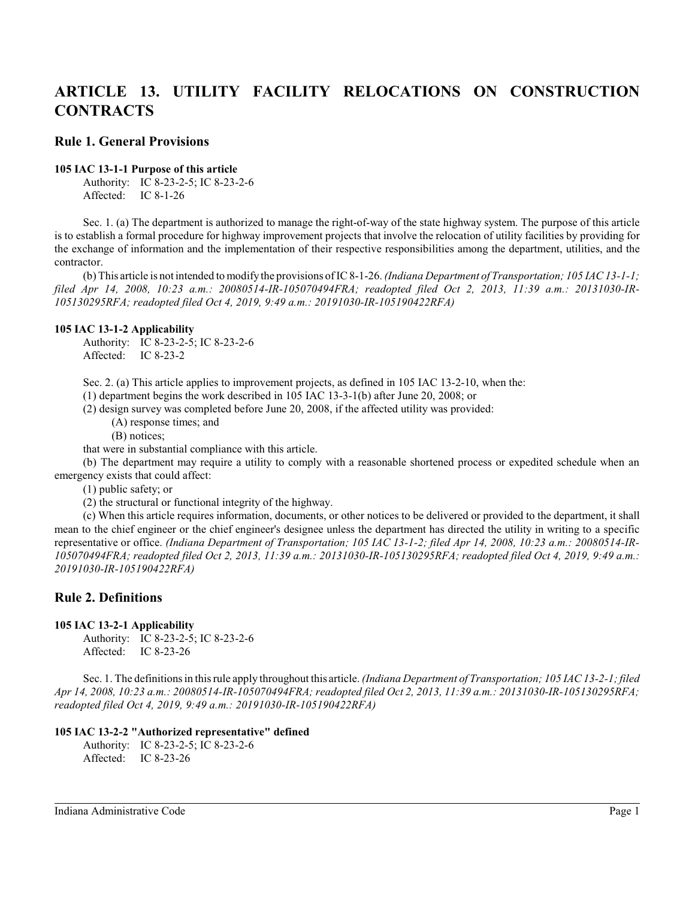# **ARTICLE 13. UTILITY FACILITY RELOCATIONS ON CONSTRUCTION CONTRACTS**

## **Rule 1. General Provisions**

#### **105 IAC 13-1-1 Purpose of this article**

Authority: IC 8-23-2-5; IC 8-23-2-6 Affected: IC 8-1-26

Sec. 1. (a) The department is authorized to manage the right-of-way of the state highway system. The purpose of this article is to establish a formal procedure for highway improvement projects that involve the relocation of utility facilities by providing for the exchange of information and the implementation of their respective responsibilities among the department, utilities, and the contractor.

(b) This article is not intended to modify the provisions of IC 8-1-26. *(Indiana Department of Transportation; 105 IAC 13-1-1; filed Apr 14, 2008, 10:23 a.m.: 20080514-IR-105070494FRA; readopted filed Oct 2, 2013, 11:39 a.m.: 20131030-IR-105130295RFA; readopted filed Oct 4, 2019, 9:49 a.m.: 20191030-IR-105190422RFA)*

#### **105 IAC 13-1-2 Applicability**

Authority: IC 8-23-2-5; IC 8-23-2-6 Affected: IC 8-23-2

Sec. 2. (a) This article applies to improvement projects, as defined in 105 IAC 13-2-10, when the:

(1) department begins the work described in 105 IAC 13-3-1(b) after June 20, 2008; or

(2) design survey was completed before June 20, 2008, if the affected utility was provided:

(A) response times; and

(B) notices;

that were in substantial compliance with this article.

(b) The department may require a utility to comply with a reasonable shortened process or expedited schedule when an emergency exists that could affect:

(1) public safety; or

(2) the structural or functional integrity of the highway.

(c) When this article requires information, documents, or other notices to be delivered or provided to the department, it shall mean to the chief engineer or the chief engineer's designee unless the department has directed the utility in writing to a specific representative or office. *(Indiana Department of Transportation; 105 IAC 13-1-2; filed Apr 14, 2008, 10:23 a.m.: 20080514-IR-105070494FRA; readopted filed Oct 2, 2013, 11:39 a.m.: 20131030-IR-105130295RFA; readopted filed Oct 4, 2019, 9:49 a.m.: 20191030-IR-105190422RFA)*

# **Rule 2. Definitions**

## **105 IAC 13-2-1 Applicability**

Authority: IC 8-23-2-5; IC 8-23-2-6 Affected: IC 8-23-26

Sec. 1. The definitionsin thisrule apply throughout this article. *(Indiana Department of Transportation; 105 IAC 13-2-1; filed Apr 14, 2008, 10:23 a.m.: 20080514-IR-105070494FRA; readopted filed Oct 2, 2013, 11:39 a.m.: 20131030-IR-105130295RFA; readopted filed Oct 4, 2019, 9:49 a.m.: 20191030-IR-105190422RFA)*

## **105 IAC 13-2-2 "Authorized representative" defined**

Authority: IC 8-23-2-5; IC 8-23-2-6 Affected: IC 8-23-26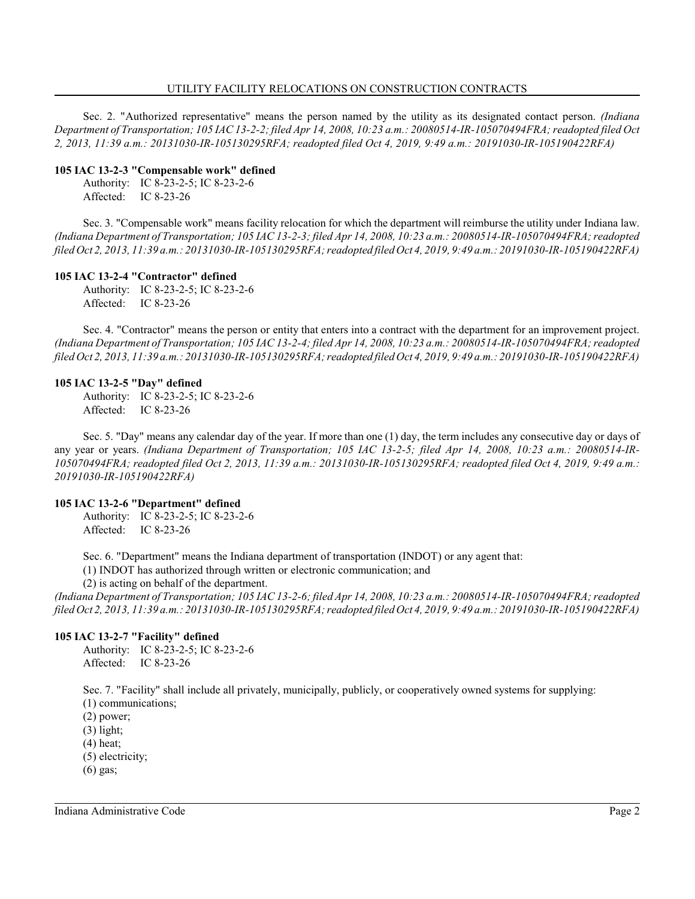#### UTILITY FACILITY RELOCATIONS ON CONSTRUCTION CONTRACTS

Sec. 2. "Authorized representative" means the person named by the utility as its designated contact person. *(Indiana Department of Transportation; 105 IAC 13-2-2; filed Apr 14, 2008, 10:23 a.m.: 20080514-IR-105070494FRA; readopted filed Oct 2, 2013, 11:39 a.m.: 20131030-IR-105130295RFA; readopted filed Oct 4, 2019, 9:49 a.m.: 20191030-IR-105190422RFA)*

#### **105 IAC 13-2-3 "Compensable work" defined**

Authority: IC 8-23-2-5; IC 8-23-2-6 Affected: IC 8-23-26

Sec. 3. "Compensable work" means facility relocation for which the department will reimburse the utility under Indiana law. *(Indiana Department of Transportation; 105 IAC 13-2-3; filed Apr 14, 2008, 10:23 a.m.: 20080514-IR-105070494FRA; readopted filed Oct 2, 2013, 11:39 a.m.: 20131030-IR-105130295RFA; readopted filed Oct 4, 2019, 9:49 a.m.: 20191030-IR-105190422RFA)*

#### **105 IAC 13-2-4 "Contractor" defined**

Authority: IC 8-23-2-5; IC 8-23-2-6 Affected: IC 8-23-26

Sec. 4. "Contractor" means the person or entity that enters into a contract with the department for an improvement project. *(Indiana Department of Transportation; 105 IAC 13-2-4; filed Apr 14, 2008, 10:23 a.m.: 20080514-IR-105070494FRA; readopted filed Oct 2, 2013, 11:39 a.m.: 20131030-IR-105130295RFA; readopted filed Oct 4, 2019, 9:49 a.m.: 20191030-IR-105190422RFA)*

#### **105 IAC 13-2-5 "Day" defined**

Authority: IC 8-23-2-5; IC 8-23-2-6 Affected: IC 8-23-26

Sec. 5. "Day" means any calendar day of the year. If more than one (1) day, the term includes any consecutive day or days of any year or years. *(Indiana Department of Transportation; 105 IAC 13-2-5; filed Apr 14, 2008, 10:23 a.m.: 20080514-IR-105070494FRA; readopted filed Oct 2, 2013, 11:39 a.m.: 20131030-IR-105130295RFA; readopted filed Oct 4, 2019, 9:49 a.m.: 20191030-IR-105190422RFA)*

#### **105 IAC 13-2-6 "Department" defined**

Authority: IC 8-23-2-5; IC 8-23-2-6 Affected: IC 8-23-26

Sec. 6. "Department" means the Indiana department of transportation (INDOT) or any agent that:

(1) INDOT has authorized through written or electronic communication; and

(2) is acting on behalf of the department.

*(Indiana Department of Transportation; 105 IAC 13-2-6; filed Apr 14, 2008, 10:23 a.m.: 20080514-IR-105070494FRA; readopted filed Oct 2, 2013, 11:39 a.m.: 20131030-IR-105130295RFA; readopted filed Oct 4, 2019, 9:49 a.m.: 20191030-IR-105190422RFA)*

#### **105 IAC 13-2-7 "Facility" defined**

Authority: IC 8-23-2-5; IC 8-23-2-6 Affected: IC 8-23-26

Sec. 7. "Facility" shall include all privately, municipally, publicly, or cooperatively owned systems for supplying: (1) communications;

(2) power;

(3) light;

(4) heat;

(5) electricity;

(6) gas;

Indiana Administrative Code Page 2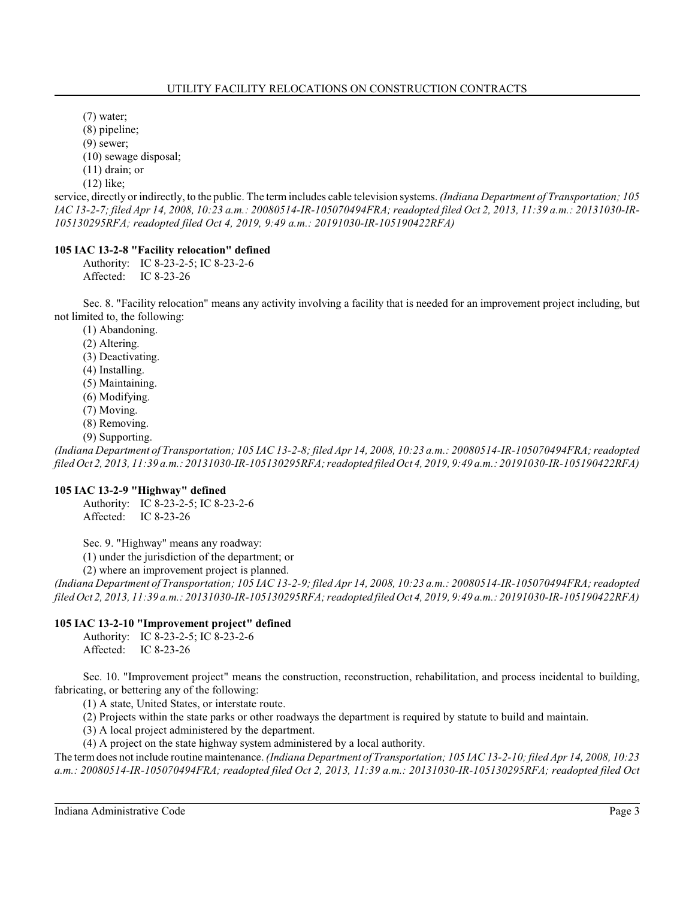(7) water; (8) pipeline;

(9) sewer;

(10) sewage disposal;

(11) drain; or

(12) like;

service, directly or indirectly, to the public. The termincludes cable television systems. *(Indiana Department of Transportation; 105 IAC 13-2-7; filed Apr 14, 2008, 10:23 a.m.: 20080514-IR-105070494FRA; readopted filed Oct 2, 2013, 11:39 a.m.: 20131030-IR-105130295RFA; readopted filed Oct 4, 2019, 9:49 a.m.: 20191030-IR-105190422RFA)*

# **105 IAC 13-2-8 "Facility relocation" defined**

Authority: IC 8-23-2-5; IC 8-23-2-6 Affected: IC 8-23-26

Sec. 8. "Facility relocation" means any activity involving a facility that is needed for an improvement project including, but not limited to, the following:

(1) Abandoning.

(2) Altering.

(3) Deactivating.

- (4) Installing.
- (5) Maintaining.
- (6) Modifying.
- (7) Moving.
- (8) Removing.
- (9) Supporting.

*(Indiana Department of Transportation; 105 IAC 13-2-8; filed Apr 14, 2008, 10:23 a.m.: 20080514-IR-105070494FRA; readopted filed Oct 2, 2013, 11:39 a.m.: 20131030-IR-105130295RFA; readopted filed Oct 4, 2019, 9:49 a.m.: 20191030-IR-105190422RFA)*

## **105 IAC 13-2-9 "Highway" defined**

Authority: IC 8-23-2-5; IC 8-23-2-6 Affected: IC 8-23-26

Sec. 9. "Highway" means any roadway:

(1) under the jurisdiction of the department; or

(2) where an improvement project is planned.

*(Indiana Department of Transportation; 105 IAC 13-2-9; filed Apr 14, 2008, 10:23 a.m.: 20080514-IR-105070494FRA; readopted filed Oct 2, 2013, 11:39 a.m.: 20131030-IR-105130295RFA; readopted filed Oct 4, 2019, 9:49 a.m.: 20191030-IR-105190422RFA)*

## **105 IAC 13-2-10 "Improvement project" defined**

Authority: IC 8-23-2-5; IC 8-23-2-6 Affected: IC 8-23-26

Sec. 10. "Improvement project" means the construction, reconstruction, rehabilitation, and process incidental to building, fabricating, or bettering any of the following:

(1) A state, United States, or interstate route.

(2) Projects within the state parks or other roadways the department is required by statute to build and maintain.

(3) A local project administered by the department.

(4) A project on the state highway system administered by a local authority.

The termdoes not include routine maintenance. *(Indiana Department of Transportation; 105 IAC 13-2-10; filed Apr 14, 2008, 10:23 a.m.: 20080514-IR-105070494FRA; readopted filed Oct 2, 2013, 11:39 a.m.: 20131030-IR-105130295RFA; readopted filed Oct*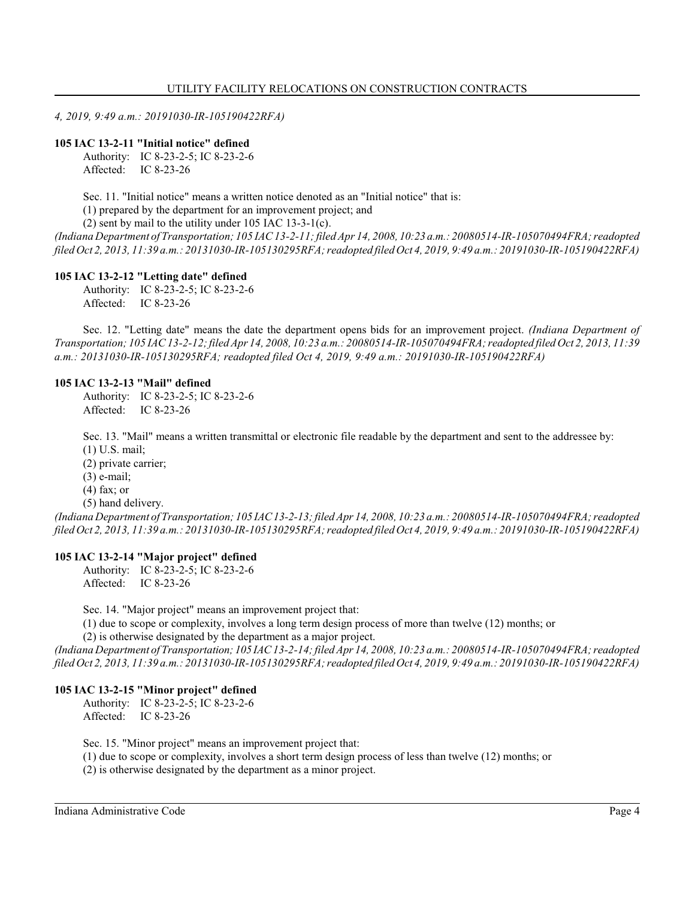*4, 2019, 9:49 a.m.: 20191030-IR-105190422RFA)*

## **105 IAC 13-2-11 "Initial notice" defined**

Authority: IC 8-23-2-5; IC 8-23-2-6 Affected: IC 8-23-26

Sec. 11. "Initial notice" means a written notice denoted as an "Initial notice" that is:

(1) prepared by the department for an improvement project; and

(2) sent by mail to the utility under 105 IAC 13-3-1(c).

*(Indiana Department of Transportation; 105 IAC 13-2-11;filed Apr 14, 2008, 10:23 a.m.: 20080514-IR-105070494FRA; readopted filed Oct 2, 2013, 11:39 a.m.: 20131030-IR-105130295RFA; readopted filed Oct 4, 2019, 9:49 a.m.: 20191030-IR-105190422RFA)*

## **105 IAC 13-2-12 "Letting date" defined**

Authority: IC 8-23-2-5; IC 8-23-2-6 Affected: IC 8-23-26

Sec. 12. "Letting date" means the date the department opens bids for an improvement project. *(Indiana Department of Transportation; 105 IAC 13-2-12;filed Apr 14, 2008, 10:23 a.m.: 20080514-IR-105070494FRA; readopted filed Oct 2, 2013, 11:39 a.m.: 20131030-IR-105130295RFA; readopted filed Oct 4, 2019, 9:49 a.m.: 20191030-IR-105190422RFA)*

## **105 IAC 13-2-13 "Mail" defined**

Authority: IC 8-23-2-5; IC 8-23-2-6 Affected: IC 8-23-26

Sec. 13. "Mail" means a written transmittal or electronic file readable by the department and sent to the addressee by: (1) U.S. mail;

(2) private carrier;

(3) e-mail;

(4) fax; or

(5) hand delivery.

*(Indiana Department of Transportation; 105 IAC13-2-13;filed Apr 14, 2008, 10:23 a.m.: 20080514-IR-105070494FRA; readopted filed Oct 2, 2013, 11:39 a.m.: 20131030-IR-105130295RFA; readopted filed Oct 4, 2019, 9:49 a.m.: 20191030-IR-105190422RFA)*

## **105 IAC 13-2-14 "Major project" defined**

Authority: IC 8-23-2-5; IC 8-23-2-6 Affected: IC 8-23-26

Sec. 14. "Major project" means an improvement project that:

(1) due to scope or complexity, involves a long term design process of more than twelve (12) months; or

(2) is otherwise designated by the department as a major project.

*(Indiana Department of Transportation; 105 IAC 13-2-14;filed Apr 14, 2008, 10:23 a.m.: 20080514-IR-105070494FRA; readopted filed Oct 2, 2013, 11:39 a.m.: 20131030-IR-105130295RFA; readopted filed Oct 4, 2019, 9:49 a.m.: 20191030-IR-105190422RFA)*

## **105 IAC 13-2-15 "Minor project" defined**

Authority: IC 8-23-2-5; IC 8-23-2-6 Affected: IC 8-23-26

Sec. 15. "Minor project" means an improvement project that:

(1) due to scope or complexity, involves a short term design process of less than twelve (12) months; or

(2) is otherwise designated by the department as a minor project.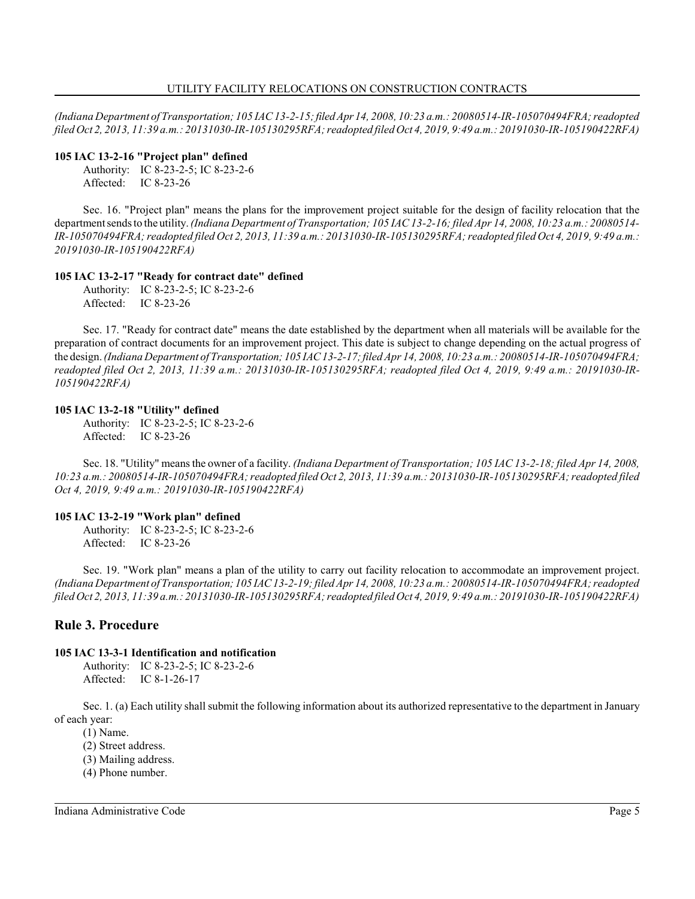*(Indiana Department of Transportation; 105 IAC 13-2-15;filed Apr14, 2008, 10:23 a.m.: 20080514-IR-105070494FRA; readopted filed Oct 2, 2013, 11:39 a.m.: 20131030-IR-105130295RFA; readopted filed Oct 4, 2019, 9:49 a.m.: 20191030-IR-105190422RFA)*

#### **105 IAC 13-2-16 "Project plan" defined**

Authority: IC 8-23-2-5; IC 8-23-2-6 Affected: IC 8-23-26

Sec. 16. "Project plan" means the plans for the improvement project suitable for the design of facility relocation that the department sends to the utility. *(Indiana Department of Transportation; 105 IAC 13-2-16; filed Apr 14, 2008, 10:23 a.m.: 20080514- IR-105070494FRA; readopted filed Oct 2, 2013, 11:39 a.m.: 20131030-IR-105130295RFA; readopted filed Oct 4, 2019, 9:49 a.m.: 20191030-IR-105190422RFA)*

## **105 IAC 13-2-17 "Ready for contract date" defined**

Authority: IC 8-23-2-5; IC 8-23-2-6 Affected: IC 8-23-26

Sec. 17. "Ready for contract date" means the date established by the department when all materials will be available for the preparation of contract documents for an improvement project. This date is subject to change depending on the actual progress of the design. *(Indiana Department of Transportation; 105 IAC13-2-17;filed Apr 14, 2008, 10:23 a.m.: 20080514-IR-105070494FRA; readopted filed Oct 2, 2013, 11:39 a.m.: 20131030-IR-105130295RFA; readopted filed Oct 4, 2019, 9:49 a.m.: 20191030-IR-105190422RFA)*

#### **105 IAC 13-2-18 "Utility" defined**

Authority: IC 8-23-2-5; IC 8-23-2-6 Affected: IC 8-23-26

Sec. 18. "Utility" means the owner of a facility. *(Indiana Department of Transportation; 105 IAC 13-2-18; filed Apr 14, 2008, 10:23 a.m.: 20080514-IR-105070494FRA; readopted filed Oct 2, 2013, 11:39 a.m.: 20131030-IR-105130295RFA; readopted filed Oct 4, 2019, 9:49 a.m.: 20191030-IR-105190422RFA)*

## **105 IAC 13-2-19 "Work plan" defined**

Authority: IC 8-23-2-5; IC 8-23-2-6 Affected: IC 8-23-26

Sec. 19. "Work plan" means a plan of the utility to carry out facility relocation to accommodate an improvement project. *(Indiana Department of Transportation; 105 IAC13-2-19;filed Apr 14, 2008, 10:23 a.m.: 20080514-IR-105070494FRA; readopted filed Oct 2, 2013, 11:39 a.m.: 20131030-IR-105130295RFA; readopted filed Oct 4, 2019, 9:49 a.m.: 20191030-IR-105190422RFA)*

# **Rule 3. Procedure**

## **105 IAC 13-3-1 Identification and notification**

Authority: IC 8-23-2-5; IC 8-23-2-6 Affected: IC 8-1-26-17

Sec. 1. (a) Each utility shall submit the following information about its authorized representative to the department in January of each year:

(1) Name.

- (2) Street address.
- (3) Mailing address.
- (4) Phone number.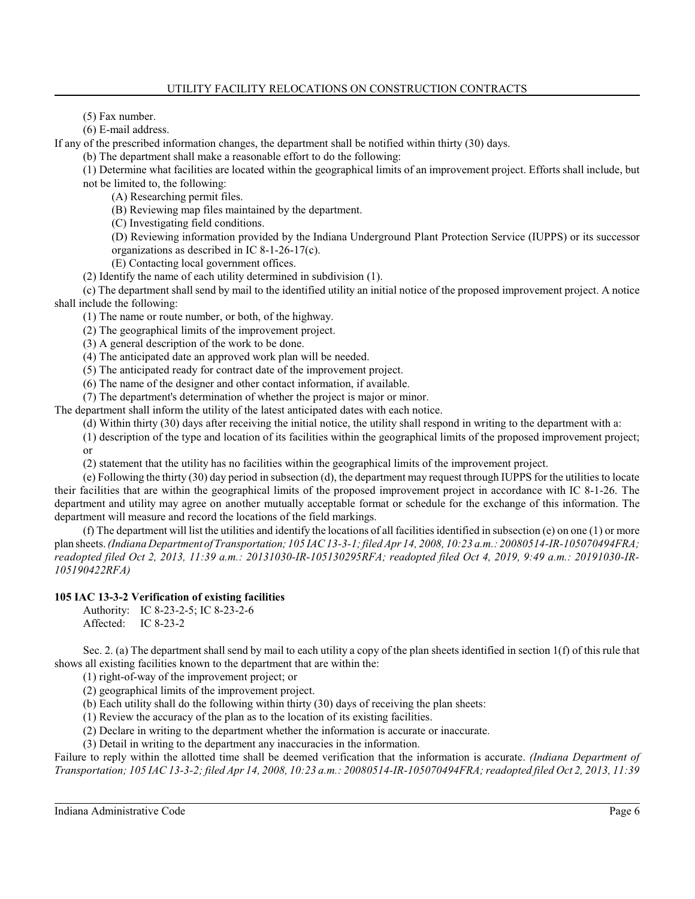(5) Fax number.

(6) E-mail address.

If any of the prescribed information changes, the department shall be notified within thirty (30) days.

(b) The department shall make a reasonable effort to do the following:

(1) Determine what facilities are located within the geographical limits of an improvement project. Efforts shall include, but

not be limited to, the following:

(A) Researching permit files.

(B) Reviewing map files maintained by the department.

(C) Investigating field conditions.

(D) Reviewing information provided by the Indiana Underground Plant Protection Service (IUPPS) or its successor organizations as described in IC 8-1-26-17(c).

(E) Contacting local government offices.

(2) Identify the name of each utility determined in subdivision (1).

(c) The department shall send by mail to the identified utility an initial notice of the proposed improvement project. A notice shall include the following:

(1) The name or route number, or both, of the highway.

(2) The geographical limits of the improvement project.

(3) A general description of the work to be done.

(4) The anticipated date an approved work plan will be needed.

(5) The anticipated ready for contract date of the improvement project.

(6) The name of the designer and other contact information, if available.

(7) The department's determination of whether the project is major or minor.

The department shall inform the utility of the latest anticipated dates with each notice.

(d) Within thirty (30) days after receiving the initial notice, the utility shall respond in writing to the department with a:

(1) description of the type and location of its facilities within the geographical limits of the proposed improvement project; or

(2) statement that the utility has no facilities within the geographical limits of the improvement project.

(e) Following the thirty (30) day period in subsection (d), the department may request through IUPPS for the utilities to locate their facilities that are within the geographical limits of the proposed improvement project in accordance with IC 8-1-26. The department and utility may agree on another mutually acceptable format or schedule for the exchange of this information. The department will measure and record the locations of the field markings.

(f) The department will list the utilities and identify the locations of all facilities identified in subsection (e) on one  $(1)$  or more plan sheets. *(Indiana Department of Transportation; 105 IAC 13-3-1; filed Apr 14, 2008, 10:23 a.m.: 20080514-IR-105070494FRA; readopted filed Oct 2, 2013, 11:39 a.m.: 20131030-IR-105130295RFA; readopted filed Oct 4, 2019, 9:49 a.m.: 20191030-IR-105190422RFA)*

# **105 IAC 13-3-2 Verification of existing facilities**

Authority: IC 8-23-2-5; IC 8-23-2-6 Affected: IC 8-23-2

Sec. 2. (a) The department shall send by mail to each utility a copy of the plan sheets identified in section 1(f) of this rule that shows all existing facilities known to the department that are within the:

(1) right-of-way of the improvement project; or

(2) geographical limits of the improvement project.

(b) Each utility shall do the following within thirty (30) days of receiving the plan sheets:

(1) Review the accuracy of the plan as to the location of its existing facilities.

(2) Declare in writing to the department whether the information is accurate or inaccurate.

(3) Detail in writing to the department any inaccuracies in the information.

Failure to reply within the allotted time shall be deemed verification that the information is accurate. *(Indiana Department of Transportation; 105 IAC 13-3-2; filed Apr 14, 2008, 10:23 a.m.: 20080514-IR-105070494FRA; readopted filed Oct 2, 2013, 11:39*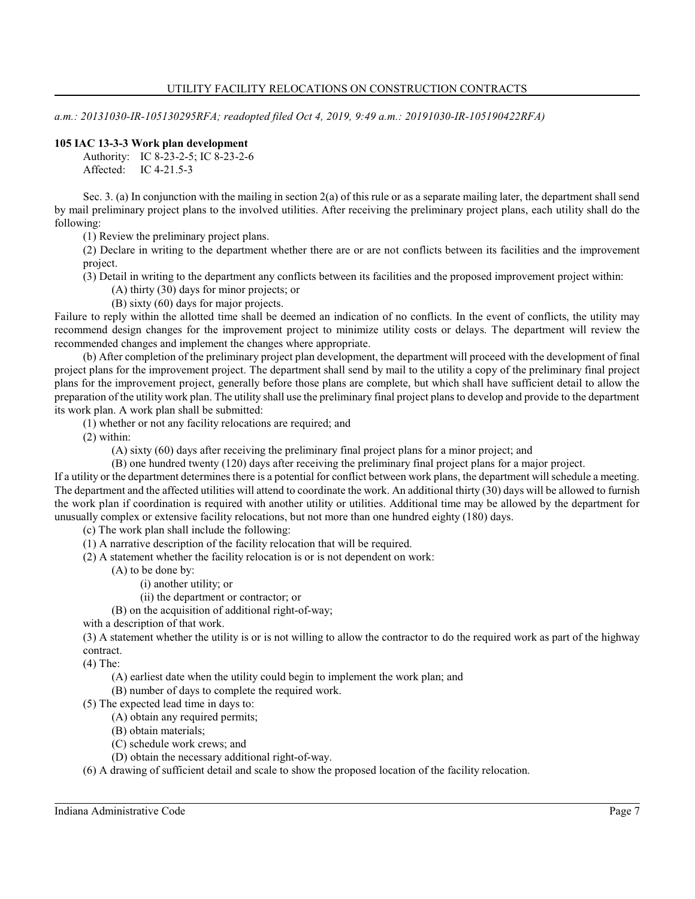*a.m.: 20131030-IR-105130295RFA; readopted filed Oct 4, 2019, 9:49 a.m.: 20191030-IR-105190422RFA)*

## **105 IAC 13-3-3 Work plan development**

Authority: IC 8-23-2-5; IC 8-23-2-6 Affected: IC 4-21.5-3

Sec. 3. (a) In conjunction with the mailing in section  $2(a)$  of this rule or as a separate mailing later, the department shall send by mail preliminary project plans to the involved utilities. After receiving the preliminary project plans, each utility shall do the following:

(1) Review the preliminary project plans.

(2) Declare in writing to the department whether there are or are not conflicts between its facilities and the improvement project.

(3) Detail in writing to the department any conflicts between its facilities and the proposed improvement project within:

(A) thirty (30) days for minor projects; or

(B) sixty (60) days for major projects.

Failure to reply within the allotted time shall be deemed an indication of no conflicts. In the event of conflicts, the utility may recommend design changes for the improvement project to minimize utility costs or delays. The department will review the recommended changes and implement the changes where appropriate.

(b) After completion of the preliminary project plan development, the department will proceed with the development of final project plans for the improvement project. The department shall send by mail to the utility a copy of the preliminary final project plans for the improvement project, generally before those plans are complete, but which shall have sufficient detail to allow the preparation of the utility work plan. The utility shall use the preliminary final project plans to develop and provide to the department its work plan. A work plan shall be submitted:

(1) whether or not any facility relocations are required; and

(2) within:

(A) sixty (60) days after receiving the preliminary final project plans for a minor project; and

(B) one hundred twenty (120) days after receiving the preliminary final project plans for a major project.

If a utility or the department determines there is a potential for conflict between work plans, the department will schedule a meeting. The department and the affected utilities will attend to coordinate the work. An additional thirty (30) days will be allowed to furnish the work plan if coordination is required with another utility or utilities. Additional time may be allowed by the department for unusually complex or extensive facility relocations, but not more than one hundred eighty (180) days.

(c) The work plan shall include the following:

(1) A narrative description of the facility relocation that will be required.

(2) A statement whether the facility relocation is or is not dependent on work:

(A) to be done by:

(i) another utility; or

(ii) the department or contractor; or

(B) on the acquisition of additional right-of-way;

with a description of that work.

(3) A statement whether the utility is or is not willing to allow the contractor to do the required work as part of the highway contract.

(4) The:

(A) earliest date when the utility could begin to implement the work plan; and

(B) number of days to complete the required work.

(5) The expected lead time in days to:

(A) obtain any required permits;

(B) obtain materials;

(C) schedule work crews; and

(D) obtain the necessary additional right-of-way.

(6) A drawing of sufficient detail and scale to show the proposed location of the facility relocation.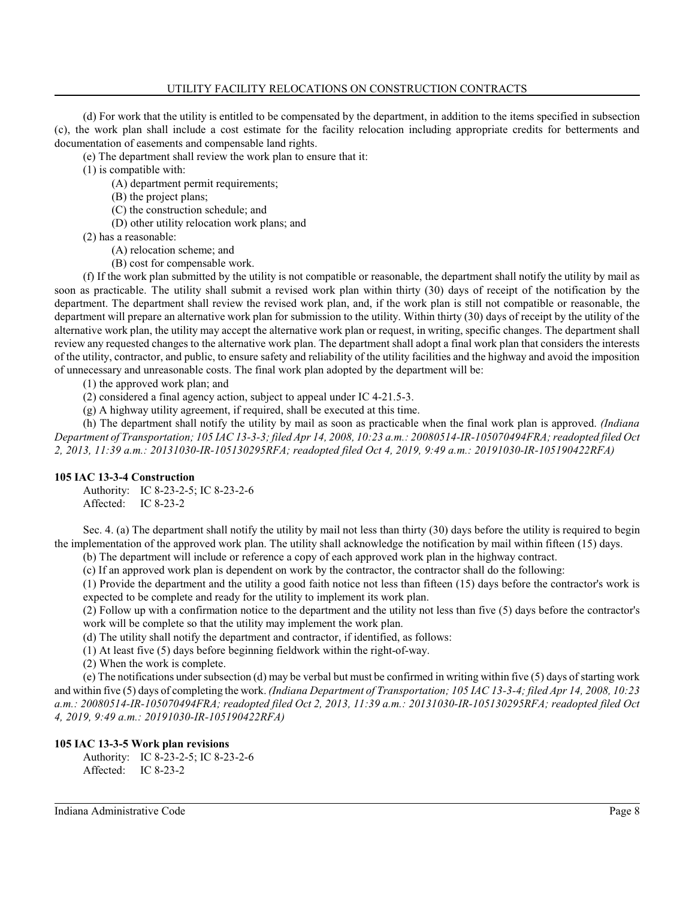(d) For work that the utility is entitled to be compensated by the department, in addition to the items specified in subsection (c), the work plan shall include a cost estimate for the facility relocation including appropriate credits for betterments and documentation of easements and compensable land rights.

(e) The department shall review the work plan to ensure that it:

(1) is compatible with:

- (A) department permit requirements;
- (B) the project plans;
- (C) the construction schedule; and
- (D) other utility relocation work plans; and

(2) has a reasonable:

- (A) relocation scheme; and
- (B) cost for compensable work.

(f) If the work plan submitted by the utility is not compatible or reasonable, the department shall notify the utility by mail as soon as practicable. The utility shall submit a revised work plan within thirty (30) days of receipt of the notification by the department. The department shall review the revised work plan, and, if the work plan is still not compatible or reasonable, the department will prepare an alternative work plan for submission to the utility. Within thirty (30) days of receipt by the utility of the alternative work plan, the utility may accept the alternative work plan or request, in writing, specific changes. The department shall review any requested changes to the alternative work plan. The department shall adopt a final work plan that considers the interests of the utility, contractor, and public, to ensure safety and reliability of the utility facilities and the highway and avoid the imposition of unnecessary and unreasonable costs. The final work plan adopted by the department will be:

(1) the approved work plan; and

(2) considered a final agency action, subject to appeal under IC 4-21.5-3.

(g) A highway utility agreement, if required, shall be executed at this time.

(h) The department shall notify the utility by mail as soon as practicable when the final work plan is approved. *(Indiana Department of Transportation; 105 IAC 13-3-3; filed Apr 14, 2008, 10:23 a.m.: 20080514-IR-105070494FRA; readopted filed Oct 2, 2013, 11:39 a.m.: 20131030-IR-105130295RFA; readopted filed Oct 4, 2019, 9:49 a.m.: 20191030-IR-105190422RFA)*

## **105 IAC 13-3-4 Construction**

Authority: IC 8-23-2-5; IC 8-23-2-6 Affected: IC 8-23-2

Sec. 4. (a) The department shall notify the utility by mail not less than thirty (30) days before the utility is required to begin the implementation of the approved work plan. The utility shall acknowledge the notification by mail within fifteen (15) days.

(b) The department will include or reference a copy of each approved work plan in the highway contract.

(c) If an approved work plan is dependent on work by the contractor, the contractor shall do the following:

(1) Provide the department and the utility a good faith notice not less than fifteen (15) days before the contractor's work is expected to be complete and ready for the utility to implement its work plan.

(2) Follow up with a confirmation notice to the department and the utility not less than five (5) days before the contractor's work will be complete so that the utility may implement the work plan.

(d) The utility shall notify the department and contractor, if identified, as follows:

(1) At least five (5) days before beginning fieldwork within the right-of-way.

(2) When the work is complete.

(e) The notifications under subsection (d) may be verbal but must be confirmed in writing within five  $(5)$  days of starting work and within five (5) days of completing the work. *(Indiana Department of Transportation; 105 IAC 13-3-4; filed Apr 14, 2008, 10:23 a.m.: 20080514-IR-105070494FRA; readopted filed Oct 2, 2013, 11:39 a.m.: 20131030-IR-105130295RFA; readopted filed Oct 4, 2019, 9:49 a.m.: 20191030-IR-105190422RFA)*

## **105 IAC 13-3-5 Work plan revisions**

Authority: IC 8-23-2-5; IC 8-23-2-6 Affected: IC 8-23-2